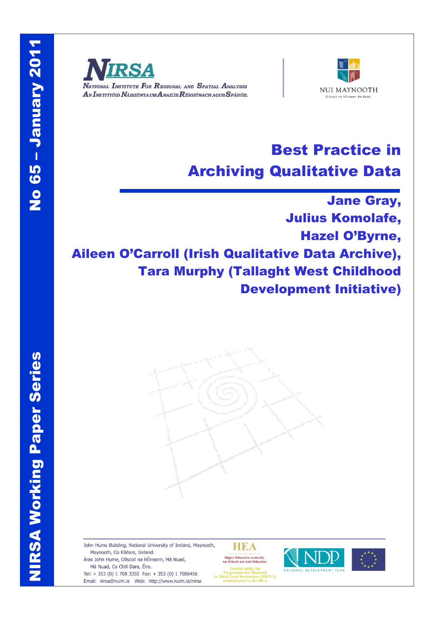NIRSA Working Paper Series

**NIRSA Working Paper Series** 



NATIONAL INSTITUTE FOR REGIONAL AND SPATIAL ANALYSIS AN INSTITIÚID NÁISIÚNTA UM ANAILIS RÉIGIÚNACH AGUS SPÁSÚIL



# Best Practice in Archiving Qualitative Data

Jane Gray, Julius Komolafe, Hazel O'Byrne, Aileen O'Carroll (Irish Qualitative Data Archive), Tara Murphy (Tallaght West Childhood Development Initiative)

John Hume Building, National University of Ireland, Maynooth, Maynooth, Co Kildare, Ireland. Áras John Hume, Ollscoil na hÉireann, Má Nuad, Má Nuad, Co Chill Dara, Éire.

Tel: + 353 (0) 1 708 3350 Fax: + 353 (0) 1 7086456 Email: nirsa@nuim.ie Web: http://www.nuim.ie/nirsa **HEA** 

Higher Education Authority<br>An tÚdarás um Ard-Oideachas Frogramme for Research<br>in Third Level Institutions (PRTLI),<br>administered by the HEA



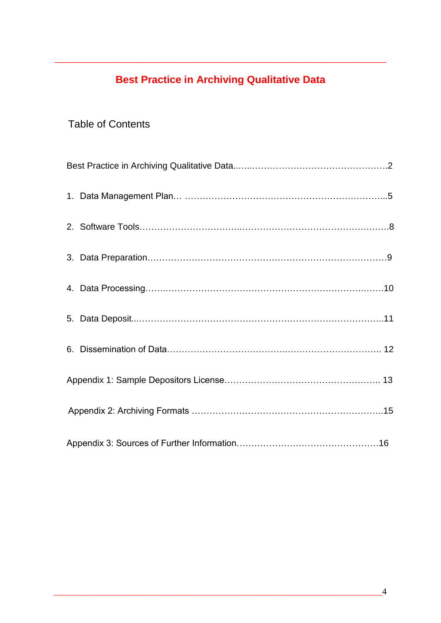## **Best Practice in Archiving Qualitative Data**

\_\_\_\_\_\_\_\_\_\_\_\_\_\_\_\_\_\_\_\_\_\_\_\_\_\_\_\_\_\_\_\_\_\_\_\_\_\_\_\_\_\_\_\_\_\_\_\_\_\_\_\_\_\_\_\_\_\_\_\_\_\_\_\_\_\_\_

## Table of Contents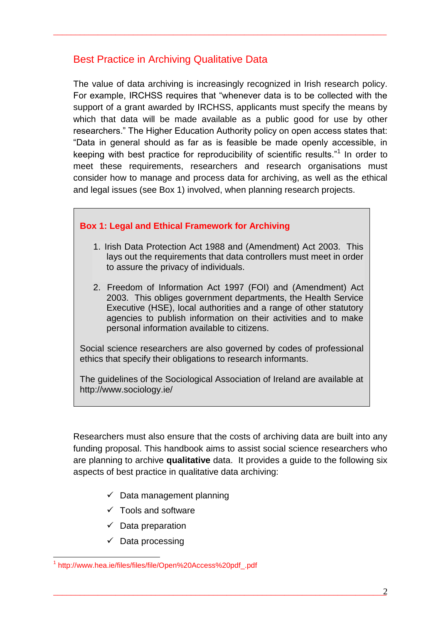## Best Practice in Archiving Qualitative Data

The value of data archiving is increasingly recognized in Irish research policy. For example, IRCHSS requires that "whenever data is to be collected with the support of a grant awarded by IRCHSS, applicants must specify the means by which that data will be made available as a public good for use by other researchers." The Higher Education Authority policy on open access states that: "Data in general should as far as is feasible be made openly accessible, in keeping with best practice for reproducibility of scientific results."<sup>1</sup> In order to meet these requirements, researchers and research organisations must consider how to manage and process data for archiving, as well as the ethical and legal issues (see Box 1) involved, when planning research projects.

\_\_\_\_\_\_\_\_\_\_\_\_\_\_\_\_\_\_\_\_\_\_\_\_\_\_\_\_\_\_\_\_\_\_\_\_\_\_\_\_\_\_\_\_\_\_\_\_\_\_\_\_\_\_\_\_\_\_\_\_\_\_\_\_\_\_\_\_\_\_\_\_\_\_\_

## **Box 1: Legal and Ethical Framework for Archiving**

- 1. Irish Data Protection Act 1988 and (Amendment) Act 2003. This lays out the requirements that data controllers must meet in order to assure the privacy of individuals.
- 2. Freedom of Information Act 1997 (FOI) and (Amendment) Act 2003. This obliges government departments, the Health Service Executive (HSE), local authorities and a range of other statutory agencies to publish information on their activities and to make personal information available to citizens.

Social science researchers are also governed by codes of professional ethics that specify their obligations to research informants.

The guidelines of the Sociological Association of Ireland are available at http://www.sociology.ie/

Researchers must also ensure that the costs of archiving data are built into any funding proposal. This handbook aims to assist social science researchers who are planning to archive **qualitative** data. It provides a guide to the following six aspects of best practice in qualitative data archiving:

- $\checkmark$  Data management planning
- $\checkmark$  Tools and software
- $\checkmark$  Data preparation
- $\checkmark$  Data processing

1

<sup>1</sup> http://www.hea.ie/files/files/file/Open%20Access%20pdf\_.pdf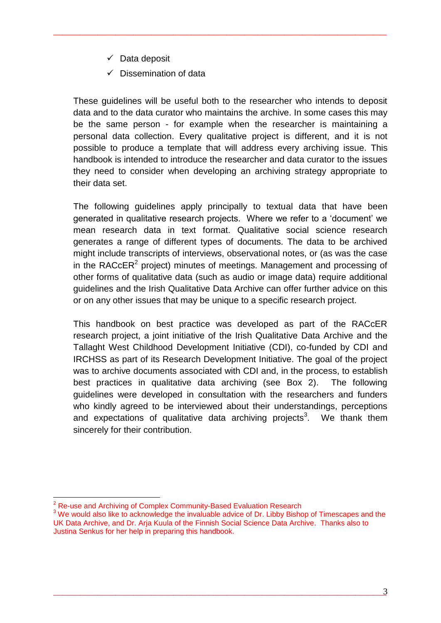- $\checkmark$  Data deposit
- $\checkmark$  Dissemination of data

These guidelines will be useful both to the researcher who intends to deposit data and to the data curator who maintains the archive. In some cases this may be the same person - for example when the researcher is maintaining a personal data collection. Every qualitative project is different, and it is not possible to produce a template that will address every archiving issue. This handbook is intended to introduce the researcher and data curator to the issues they need to consider when developing an archiving strategy appropriate to their data set.

\_\_\_\_\_\_\_\_\_\_\_\_\_\_\_\_\_\_\_\_\_\_\_\_\_\_\_\_\_\_\_\_\_\_\_\_\_\_\_\_\_\_\_\_\_\_\_\_\_\_\_\_\_\_\_\_\_\_\_\_\_\_\_\_\_\_\_\_\_\_\_\_\_\_\_

The following guidelines apply principally to textual data that have been generated in qualitative research projects. Where we refer to a "document" we mean research data in text format. Qualitative social science research generates a range of different types of documents. The data to be archived might include transcripts of interviews, observational notes, or (as was the case in the RACcER<sup>2</sup> project) minutes of meetings. Management and processing of other forms of qualitative data (such as audio or image data) require additional guidelines and the Irish Qualitative Data Archive can offer further advice on this or on any other issues that may be unique to a specific research project.

This handbook on best practice was developed as part of the RACcER research project, a joint initiative of the Irish Qualitative Data Archive and the Tallaght West Childhood Development Initiative (CDI), co-funded by CDI and IRCHSS as part of its Research Development Initiative. The goal of the project was to archive documents associated with CDI and, in the process, to establish best practices in qualitative data archiving (see Box 2). The following guidelines were developed in consultation with the researchers and funders who kindly agreed to be interviewed about their understandings, perceptions and expectations of qualitative data archiving projects<sup>3</sup>. We thank them sincerely for their contribution.

<sup>1</sup> <sup>2</sup> Re-use and Archiving of Complex Community-Based Evaluation Research

<sup>&</sup>lt;sup>3</sup> We would also like to acknowledge the invaluable advice of Dr. Libby Bishop of Timescapes and the UK Data Archive, and Dr. Arja Kuula of the Finnish Social Science Data Archive. Thanks also to Justina Senkus for her help in preparing this handbook.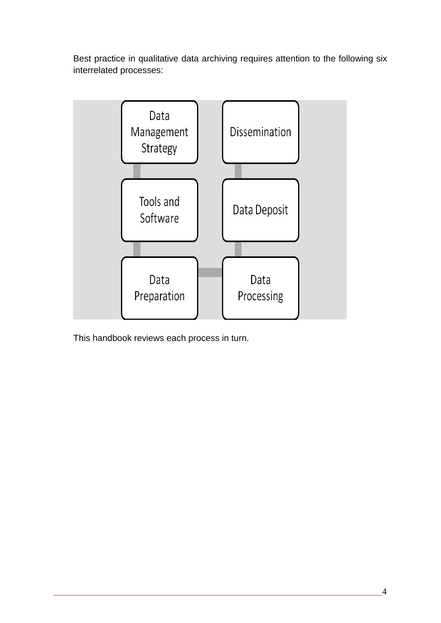Best practice in qualitative data archiving requires attention to the following six interrelated processes:



This handbook reviews each process in turn.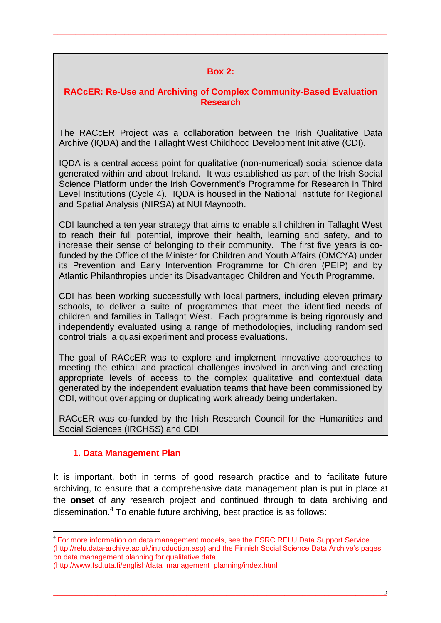#### **Box 2:**

\_\_\_\_\_\_\_\_\_\_\_\_\_\_\_\_\_\_\_\_\_\_\_\_\_\_\_\_\_\_\_\_\_\_\_\_\_\_\_\_\_\_\_\_\_\_\_\_\_\_\_\_\_\_\_\_\_\_\_\_\_\_\_\_\_\_\_\_\_\_\_\_\_\_\_

#### **RACcER: Re-Use and Archiving of Complex Community-Based Evaluation Research**

The RACcER Project was a collaboration between the Irish Qualitative Data Archive (IQDA) and the Tallaght West Childhood Development Initiative (CDI).

IQDA is a central access point for qualitative (non-numerical) social science data generated within and about Ireland. It was established as part of the Irish Social Science Platform under the Irish Government's Programme for Research in Third Level Institutions (Cycle 4). IQDA is housed in the National Institute for Regional and Spatial Analysis (NIRSA) at NUI Maynooth.

CDI launched a ten year strategy that aims to enable all children in Tallaght West to reach their full potential, improve their health, learning and safety, and to increase their sense of belonging to their community. The first five years is cofunded by the Office of the Minister for Children and Youth Affairs (OMCYA) under its Prevention and Early Intervention Programme for Children (PEIP) and by Atlantic Philanthropies under its Disadvantaged Children and Youth Programme.

CDI has been working successfully with local partners, including eleven primary schools, to deliver a suite of programmes that meet the identified needs of children and families in Tallaght West. Each programme is being rigorously and independently evaluated using a range of methodologies, including randomised control trials, a quasi experiment and process evaluations.

The goal of RACcER was to explore and implement innovative approaches to meeting the ethical and practical challenges involved in archiving and creating appropriate levels of access to the complex qualitative and contextual data generated by the independent evaluation teams that have been commissioned by CDI, without overlapping or duplicating work already being undertaken.

RACcER was co-funded by the Irish Research Council for the Humanities and Social Sciences (IRCHSS) and CDI.

#### **1. Data Management Plan**

1

It is important, both in terms of good research practice and to facilitate future archiving, to ensure that a comprehensive data management plan is put in place at the **onset** of any research project and continued through to data archiving and dissemination.<sup>4</sup> To enable future archiving, best practice is as follows:

<sup>4</sup> For more information on data management models, see the ESRC RELU Data Support Service [\(http://relu.data-archive.ac.uk/introduction.asp\)](http://relu.data-archive.ac.uk/introduction.asp) and the Finnish Social Science Data Archive"s pages on data management planning for qualitative data

<sup>(</sup>http://www.fsd.uta.fi/english/data\_management\_planning/index.html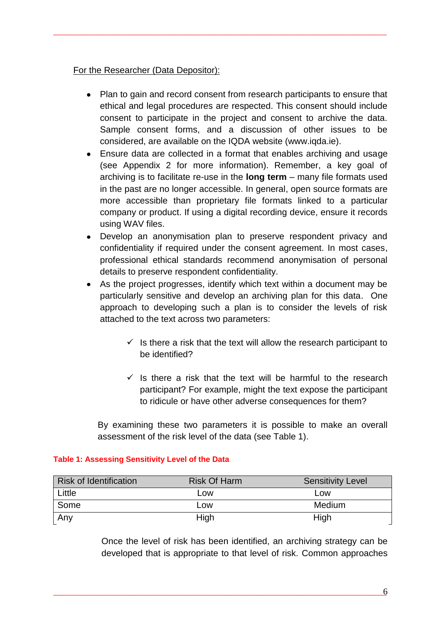#### For the Researcher (Data Depositor):

• Plan to gain and record consent from research participants to ensure that ethical and legal procedures are respected. This consent should include consent to participate in the project and consent to archive the data. Sample consent forms, and a discussion of other issues to be considered, are available on the IQDA website (www.iqda.ie).

\_\_\_\_\_\_\_\_\_\_\_\_\_\_\_\_\_\_\_\_\_\_\_\_\_\_\_\_\_\_\_\_\_\_\_\_\_\_\_\_\_\_\_\_\_\_\_\_\_\_\_\_\_\_\_\_\_\_\_\_\_\_\_\_\_\_\_\_\_\_\_\_\_\_\_

- Ensure data are collected in a format that enables archiving and usage (see Appendix 2 for more information). Remember, a key goal of archiving is to facilitate re-use in the **long term** – many file formats used in the past are no longer accessible. In general, open source formats are more accessible than proprietary file formats linked to a particular company or product. If using a digital recording device, ensure it records using WAV files.
- Develop an anonymisation plan to preserve respondent privacy and confidentiality if required under the consent agreement. In most cases, professional ethical standards recommend anonymisation of personal details to preserve respondent confidentiality.
- As the project progresses, identify which text within a document may be particularly sensitive and develop an archiving plan for this data. One approach to developing such a plan is to consider the levels of risk attached to the text across two parameters:
	- $\checkmark$  is there a risk that the text will allow the research participant to be identified?
	- $\checkmark$  Is there a risk that the text will be harmful to the research participant? For example, might the text expose the participant to ridicule or have other adverse consequences for them?

By examining these two parameters it is possible to make an overall assessment of the risk level of the data (see Table 1).

| <b>Risk of Identification</b> | <b>Risk Of Harm</b> | <b>Sensitivity Level</b> |
|-------------------------------|---------------------|--------------------------|
| Little                        | Low                 | Low                      |
| Some                          | Low                 | Medium                   |
| Any                           | High                | High                     |

#### **Table 1: Assessing Sensitivity Level of the Data**

Once the level of risk has been identified, an archiving strategy can be developed that is appropriate to that level of risk. Common approaches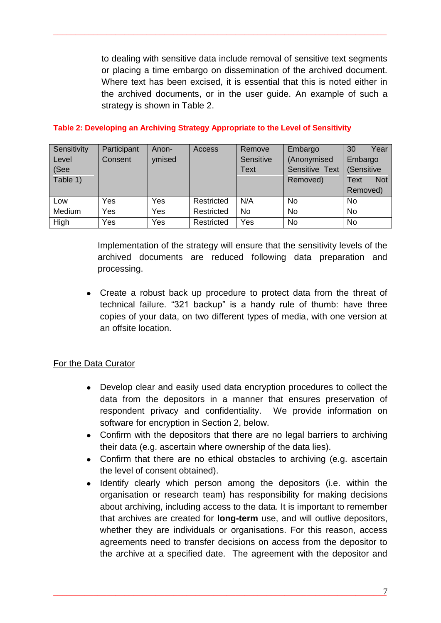to dealing with sensitive data include removal of sensitive text segments or placing a time embargo on dissemination of the archived document. Where text has been excised, it is essential that this is noted either in the archived documents, or in the user guide. An example of such a strategy is shown in Table 2.

| Sensitivity | Participant | Anon-  | Access     | Remove    | Embargo        | 30<br>Year         |
|-------------|-------------|--------|------------|-----------|----------------|--------------------|
| Level       | Consent     | ymised |            | Sensitive | (Anonymised    | Embargo            |
| (See        |             |        |            | Text      | Sensitive Text | (Sensitive         |
| Table 1)    |             |        |            |           | Removed)       | <b>Not</b><br>Text |
|             |             |        |            |           |                | Removed)           |
| Low         | Yes         | Yes    | Restricted | N/A       | <b>No</b>      | No                 |
| Medium      | Yes         | Yes    | Restricted | <b>No</b> | <b>No</b>      | No                 |
| High        | Yes         | Yes    | Restricted | Yes       | <b>No</b>      | No                 |

\_\_\_\_\_\_\_\_\_\_\_\_\_\_\_\_\_\_\_\_\_\_\_\_\_\_\_\_\_\_\_\_\_\_\_\_\_\_\_\_\_\_\_\_\_\_\_\_\_\_\_\_\_\_\_\_\_\_\_\_\_\_\_\_\_\_\_\_\_\_\_\_\_\_\_

#### **Table 2: Developing an Archiving Strategy Appropriate to the Level of Sensitivity**

Implementation of the strategy will ensure that the sensitivity levels of the archived documents are reduced following data preparation and processing.

Create a robust back up procedure to protect data from the threat of technical failure. "321 backup" is a handy rule of thumb: have three copies of your data, on two different types of media, with one version at an offsite location.

#### For the Data Curator

- Develop clear and easily used data encryption procedures to collect the data from the depositors in a manner that ensures preservation of respondent privacy and confidentiality. We provide information on software for encryption in Section 2, below.
- Confirm with the depositors that there are no legal barriers to archiving their data (e.g. ascertain where ownership of the data lies).
- Confirm that there are no ethical obstacles to archiving (e.g. ascertain the level of consent obtained).
- Identify clearly which person among the depositors (i.e. within the organisation or research team) has responsibility for making decisions about archiving, including access to the data. It is important to remember that archives are created for **long-term** use, and will outlive depositors, whether they are individuals or organisations. For this reason, access agreements need to transfer decisions on access from the depositor to the archive at a specified date. The agreement with the depositor and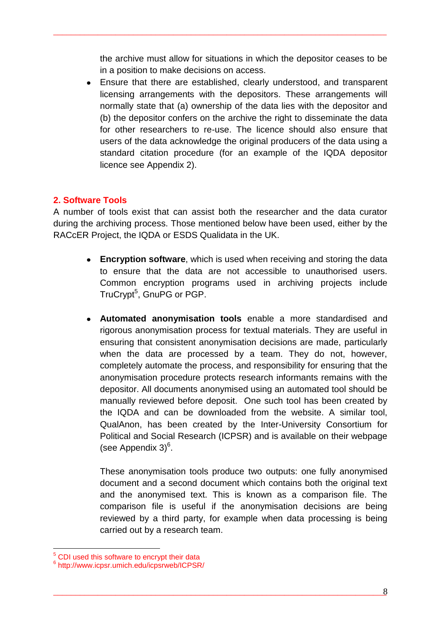the archive must allow for situations in which the depositor ceases to be in a position to make decisions on access.

\_\_\_\_\_\_\_\_\_\_\_\_\_\_\_\_\_\_\_\_\_\_\_\_\_\_\_\_\_\_\_\_\_\_\_\_\_\_\_\_\_\_\_\_\_\_\_\_\_\_\_\_\_\_\_\_\_\_\_\_\_\_\_\_\_\_\_\_\_\_\_\_\_\_\_

Ensure that there are established, clearly understood, and transparent licensing arrangements with the depositors. These arrangements will normally state that (a) ownership of the data lies with the depositor and (b) the depositor confers on the archive the right to disseminate the data for other researchers to re-use. The licence should also ensure that users of the data acknowledge the original producers of the data using a standard citation procedure (for an example of the IQDA depositor licence see Appendix 2).

## **2. Software Tools**

A number of tools exist that can assist both the researcher and the data curator during the archiving process. Those mentioned below have been used, either by the RACcER Project, the IQDA or ESDS Qualidata in the UK.

- **Encryption software**, which is used when receiving and storing the data to ensure that the data are not accessible to unauthorised users. Common encryption programs used in archiving projects include TruCrypt<sup>5</sup>, GnuPG or PGP.
- **Automated anonymisation tools** enable a more standardised and rigorous anonymisation process for textual materials. They are useful in ensuring that consistent anonymisation decisions are made, particularly when the data are processed by a team. They do not, however, completely automate the process, and responsibility for ensuring that the anonymisation procedure protects research informants remains with the depositor. All documents anonymised using an automated tool should be manually reviewed before deposit. One such tool has been created by the IQDA and can be downloaded from the website. A similar tool, QualAnon, has been created by the Inter-University Consortium for Political and Social Research (ICPSR) and is available on their webpage (see Appendix  $3)^6$ .

These anonymisation tools produce two outputs: one fully anonymised document and a second document which contains both the original text and the anonymised text. This is known as a comparison file. The comparison file is useful if the anonymisation decisions are being reviewed by a third party, for example when data processing is being carried out by a research team.

<u>.</u>

<sup>&</sup>lt;sup>5</sup> CDI used this software to encrypt their data

<sup>6</sup> http://www.icpsr.umich.edu/icpsrweb/ICPSR/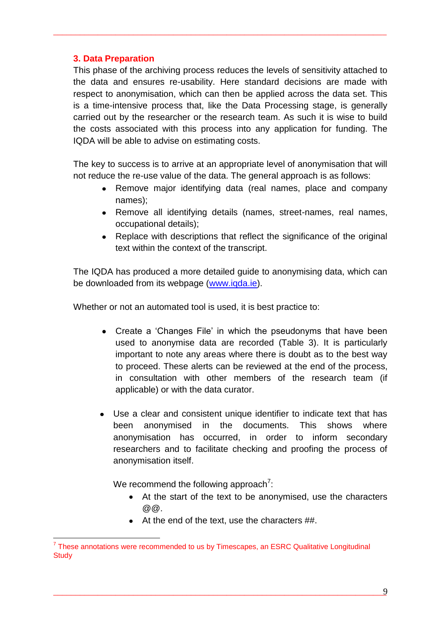#### **3. Data Preparation**

This phase of the archiving process reduces the levels of sensitivity attached to the data and ensures re-usability. Here standard decisions are made with respect to anonymisation, which can then be applied across the data set. This is a time-intensive process that, like the Data Processing stage, is generally carried out by the researcher or the research team. As such it is wise to build the costs associated with this process into any application for funding. The IQDA will be able to advise on estimating costs.

\_\_\_\_\_\_\_\_\_\_\_\_\_\_\_\_\_\_\_\_\_\_\_\_\_\_\_\_\_\_\_\_\_\_\_\_\_\_\_\_\_\_\_\_\_\_\_\_\_\_\_\_\_\_\_\_\_\_\_\_\_\_\_\_\_\_\_\_\_\_\_\_\_\_\_

The key to success is to arrive at an appropriate level of anonymisation that will not reduce the re-use value of the data. The general approach is as follows:

- Remove major identifying data (real names, place and company names);
- Remove all identifying details (names, street-names, real names, occupational details);
- Replace with descriptions that reflect the significance of the original text within the context of the transcript.

The IQDA has produced a more detailed guide to anonymising data, which can be downloaded from its webpage [\(www.iqda.ie\)](http://www.iqda.ie/).

Whether or not an automated tool is used, it is best practice to:

- Create a 'Changes File' in which the pseudonyms that have been used to anonymise data are recorded (Table 3). It is particularly important to note any areas where there is doubt as to the best way to proceed. These alerts can be reviewed at the end of the process, in consultation with other members of the research team (if applicable) or with the data curator.
- Use a clear and consistent unique identifier to indicate text that has been anonymised in the documents. This shows where anonymisation has occurred, in order to inform secondary researchers and to facilitate checking and proofing the process of anonymisation itself.

We recommend the following approach<sup>7</sup>:

<u>.</u>

- At the start of the text to be anonymised, use the characters  $@Q.$
- At the end of the text, use the characters ##.

 $7$  These annotations were recommended to us by Timescapes, an ESRC Qualitative Longitudinal **Study**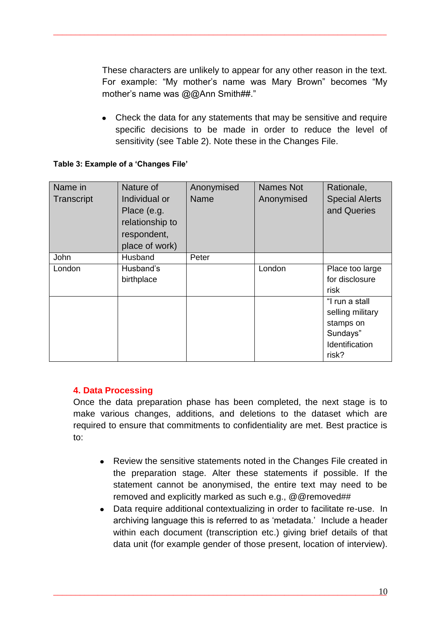These characters are unlikely to appear for any other reason in the text. For example: "My mother"s name was Mary Brown" becomes "My mother's name was @@Ann Smith##."

\_\_\_\_\_\_\_\_\_\_\_\_\_\_\_\_\_\_\_\_\_\_\_\_\_\_\_\_\_\_\_\_\_\_\_\_\_\_\_\_\_\_\_\_\_\_\_\_\_\_\_\_\_\_\_\_\_\_\_\_\_\_\_\_\_\_\_\_\_\_\_\_\_\_\_

• Check the data for any statements that may be sensitive and require specific decisions to be made in order to reduce the level of sensitivity (see Table 2). Note these in the Changes File.

#### **Table 3: Example of a 'Changes File'**

| Name in<br>Transcript | Nature of<br>Individual or<br>Place (e.g.<br>relationship to<br>respondent, | Anonymised<br><b>Name</b> | <b>Names Not</b><br>Anonymised | Rationale,<br><b>Special Alerts</b><br>and Queries                                     |
|-----------------------|-----------------------------------------------------------------------------|---------------------------|--------------------------------|----------------------------------------------------------------------------------------|
|                       | place of work)                                                              |                           |                                |                                                                                        |
| John                  | Husband                                                                     | Peter                     |                                |                                                                                        |
| London                | Husband's<br>birthplace                                                     |                           | London                         | Place too large<br>for disclosure<br>risk                                              |
|                       |                                                                             |                           |                                | "I run a stall<br>selling military<br>stamps on<br>Sundays"<br>Identification<br>risk? |

#### **4. Data Processing**

Once the data preparation phase has been completed, the next stage is to make various changes, additions, and deletions to the dataset which are required to ensure that commitments to confidentiality are met. Best practice is to:

- Review the sensitive statements noted in the Changes File created in the preparation stage. Alter these statements if possible. If the statement cannot be anonymised, the entire text may need to be removed and explicitly marked as such e.g., @@removed##
- Data require additional contextualizing in order to facilitate re-use. In archiving language this is referred to as "metadata." Include a header within each document (transcription etc.) giving brief details of that data unit (for example gender of those present, location of interview).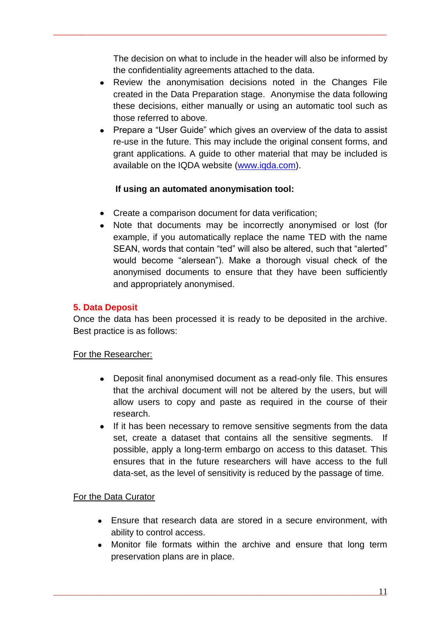The decision on what to include in the header will also be informed by the confidentiality agreements attached to the data.

\_\_\_\_\_\_\_\_\_\_\_\_\_\_\_\_\_\_\_\_\_\_\_\_\_\_\_\_\_\_\_\_\_\_\_\_\_\_\_\_\_\_\_\_\_\_\_\_\_\_\_\_\_\_\_\_\_\_\_\_\_\_\_\_\_\_\_\_\_\_\_\_\_\_\_

- Review the anonymisation decisions noted in the Changes File created in the Data Preparation stage. Anonymise the data following these decisions, either manually or using an automatic tool such as those referred to above.
- Prepare a "User Guide" which gives an overview of the data to assist re-use in the future. This may include the original consent forms, and grant applications. A guide to other material that may be included is available on the IQDA website [\(www.iqda.com\)](http://www.iqda.com/).

## **If using an automated anonymisation tool:**

- Create a comparison document for data verification;
- Note that documents may be incorrectly anonymised or lost (for example, if you automatically replace the name TED with the name SEAN, words that contain "ted" will also be altered, such that "alerted" would become "alersean"). Make a thorough visual check of the anonymised documents to ensure that they have been sufficiently and appropriately anonymised.

## **5. Data Deposit**

Once the data has been processed it is ready to be deposited in the archive. Best practice is as follows:

#### For the Researcher:

- Deposit final anonymised document as a read-only file. This ensures that the archival document will not be altered by the users, but will allow users to copy and paste as required in the course of their research.
- If it has been necessary to remove sensitive segments from the data set, create a dataset that contains all the sensitive segments. If possible, apply a long-term embargo on access to this dataset. This ensures that in the future researchers will have access to the full data-set, as the level of sensitivity is reduced by the passage of time.

#### For the Data Curator

- Ensure that research data are stored in a secure environment, with ability to control access.
- Monitor file formats within the archive and ensure that long term preservation plans are in place.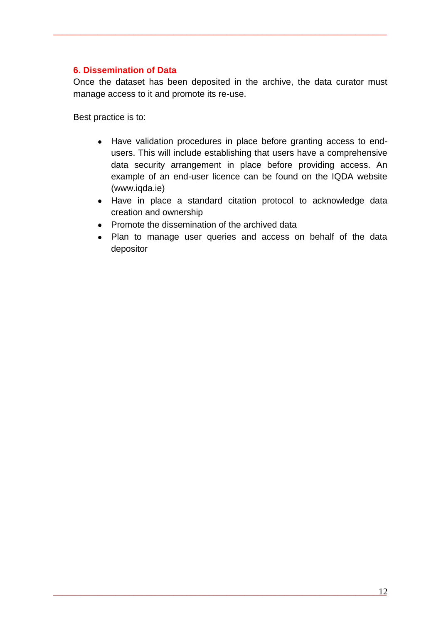#### **6. Dissemination of Data**

Once the dataset has been deposited in the archive, the data curator must manage access to it and promote its re-use.

\_\_\_\_\_\_\_\_\_\_\_\_\_\_\_\_\_\_\_\_\_\_\_\_\_\_\_\_\_\_\_\_\_\_\_\_\_\_\_\_\_\_\_\_\_\_\_\_\_\_\_\_\_\_\_\_\_\_\_\_\_\_\_\_\_\_\_\_\_\_\_\_\_\_\_

Best practice is to:

- Have validation procedures in place before granting access to endusers. This will include establishing that users have a comprehensive data security arrangement in place before providing access. An example of an end-user licence can be found on the IQDA website (www.iqda.ie)
- Have in place a standard citation protocol to acknowledge data creation and ownership
- Promote the dissemination of the archived data
- Plan to manage user queries and access on behalf of the data depositor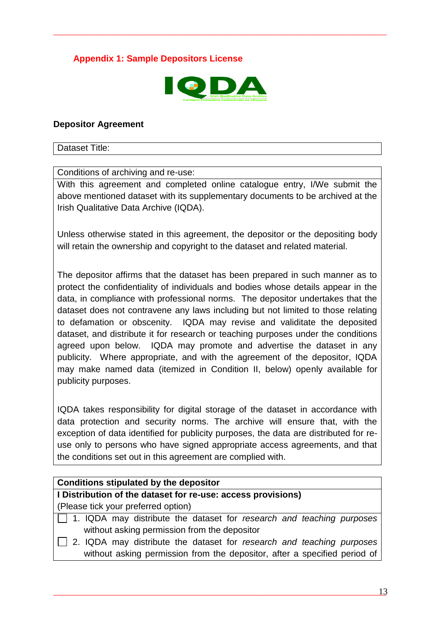## **Appendix 1: Sample Depositors License**



\_\_\_\_\_\_\_\_\_\_\_\_\_\_\_\_\_\_\_\_\_\_\_\_\_\_\_\_\_\_\_\_\_\_\_\_\_\_\_\_\_\_\_\_\_\_\_\_\_\_\_\_\_\_\_\_\_\_\_\_\_\_\_\_\_\_\_\_\_\_\_\_\_\_\_

#### **Depositor Agreement**

Dataset Title:

Conditions of archiving and re-use:

With this agreement and completed online catalogue entry, I/We submit the above mentioned dataset with its supplementary documents to be archived at the Irish Qualitative Data Archive (IQDA).

Unless otherwise stated in this agreement, the depositor or the depositing body will retain the ownership and copyright to the dataset and related material.

The depositor affirms that the dataset has been prepared in such manner as to protect the confidentiality of individuals and bodies whose details appear in the data, in compliance with professional norms. The depositor undertakes that the dataset does not contravene any laws including but not limited to those relating to defamation or obscenity. IQDA may revise and validitate the deposited dataset, and distribute it for research or teaching purposes under the conditions agreed upon below. IQDA may promote and advertise the dataset in any publicity. Where appropriate, and with the agreement of the depositor, IQDA may make named data (itemized in Condition II, below) openly available for publicity purposes.

IQDA takes responsibility for digital storage of the dataset in accordance with data protection and security norms. The archive will ensure that, with the exception of data identified for publicity purposes, the data are distributed for reuse only to persons who have signed appropriate access agreements, and that the conditions set out in this agreement are complied with.

#### **Conditions stipulated by the depositor**

**I Distribution of the dataset for re-use: access provisions)**

(Please tick your preferred option)

- 1. IQDA may distribute the dataset for *research and teaching purposes* without asking permission from the depositor
- 2. IQDA may distribute the dataset for *research and teaching purposes* without asking permission from the depositor, after a specified period of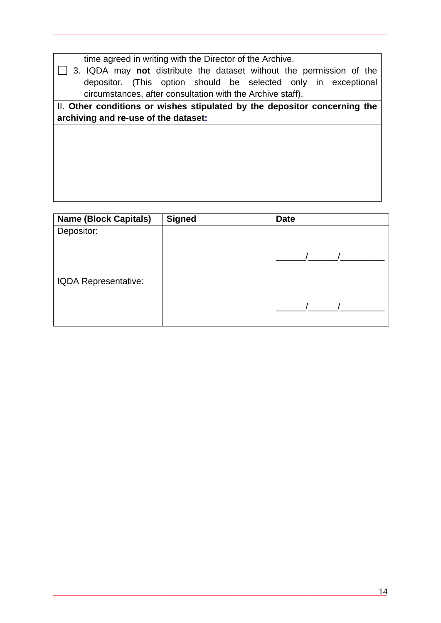time agreed in writing with the Director of the Archive.

3. IQDA may **not** distribute the dataset without the permission of the depositor. (This option should be selected only in exceptional circumstances, after consultation with the Archive staff).

\_\_\_\_\_\_\_\_\_\_\_\_\_\_\_\_\_\_\_\_\_\_\_\_\_\_\_\_\_\_\_\_\_\_\_\_\_\_\_\_\_\_\_\_\_\_\_\_\_\_\_\_\_\_\_\_\_\_\_\_\_\_\_\_\_\_\_\_\_\_\_\_\_\_\_

II. Other conditions or wishes stipulated by the depositor concerning the **archiving and re-use of the dataset:**

| <b>Name (Block Capitals)</b> | <b>Signed</b> | <b>Date</b> |
|------------------------------|---------------|-------------|
| Depositor:                   |               |             |
|                              |               |             |
|                              |               |             |
|                              |               |             |
| <b>IQDA Representative:</b>  |               |             |
|                              |               |             |
|                              |               |             |
|                              |               |             |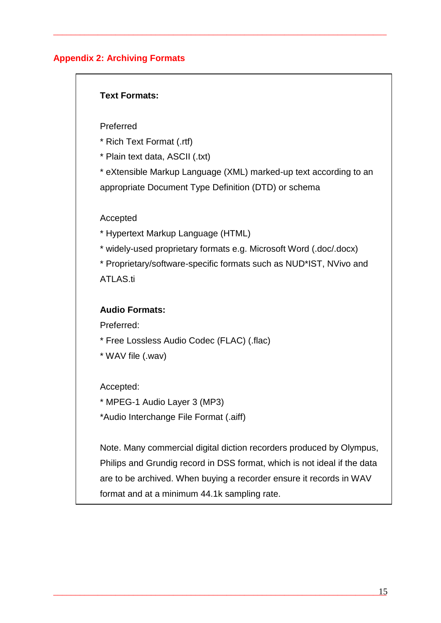## **Appendix 2: Archiving Formats**

#### **Text Formats:**

Preferred

\* Rich Text Format (.rtf)

\* Plain text data, ASCII (.txt)

\* eXtensible Markup Language (XML) marked-up text according to an appropriate Document Type Definition (DTD) or schema

\_\_\_\_\_\_\_\_\_\_\_\_\_\_\_\_\_\_\_\_\_\_\_\_\_\_\_\_\_\_\_\_\_\_\_\_\_\_\_\_\_\_\_\_\_\_\_\_\_\_\_\_\_\_\_\_\_\_\_\_\_\_\_\_\_\_\_\_\_\_\_\_\_\_\_

#### Accepted

\* Hypertext Markup Language (HTML)

\* widely-used proprietary formats e.g. Microsoft Word (.doc/.docx)

\* Proprietary/software-specific formats such as NUD\*IST, NVivo and ATLAS.ti

#### **Audio Formats:**

Preferred:

\* Free Lossless Audio Codec (FLAC) (.flac)

\* WAV file (.wav)

Accepted:

\* MPEG-1 Audio Layer 3 (MP3) \*Audio Interchange File Format (.aiff)

Note. Many commercial digital diction recorders produced by Olympus, Philips and Grundig record in DSS format, which is not ideal if the data are to be archived. When buying a recorder ensure it records in WAV format and at a minimum 44.1k sampling rate.